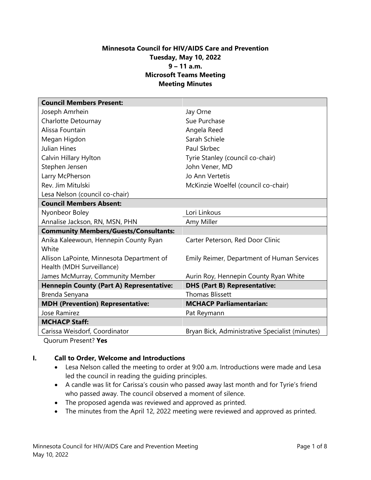# **Minnesota Council for HIV/AIDS Care and Prevention Tuesday, May 10, 2022 9 – 11 a.m. Microsoft Teams Meeting Meeting Minutes**

| <b>Council Members Present:</b>                                        |                                                 |
|------------------------------------------------------------------------|-------------------------------------------------|
| Joseph Amrhein                                                         | Jay Orne                                        |
| Charlotte Detournay                                                    | Sue Purchase                                    |
| Alissa Fountain                                                        | Angela Reed                                     |
| Megan Higdon                                                           | Sarah Schiele                                   |
| Julian Hines                                                           | Paul Skrbec                                     |
| Calvin Hillary Hylton                                                  | Tyrie Stanley (council co-chair)                |
| Stephen Jensen                                                         | John Vener, MD                                  |
| Larry McPherson                                                        | Jo Ann Vertetis                                 |
| Rev. Jim Mitulski                                                      | McKinzie Woelfel (council co-chair)             |
| Lesa Nelson (council co-chair)                                         |                                                 |
| <b>Council Members Absent:</b>                                         |                                                 |
| Nyonbeor Boley                                                         | Lori Linkous                                    |
| Annalise Jackson, RN, MSN, PHN                                         | Amy Miller                                      |
| <b>Community Members/Guests/Consultants:</b>                           |                                                 |
| Anika Kaleewoun, Hennepin County Ryan<br>White                         | Carter Peterson, Red Door Clinic                |
| Allison LaPointe, Minnesota Department of<br>Health (MDH Surveillance) | Emily Reimer, Department of Human Services      |
| James McMurray, Community Member                                       | Aurin Roy, Hennepin County Ryan White           |
| <b>Hennepin County (Part A) Representative:</b>                        | <b>DHS (Part B) Representative:</b>             |
| Brenda Senyana                                                         | <b>Thomas Blissett</b>                          |
| <b>MDH (Prevention) Representative:</b>                                | <b>MCHACP Parliamentarian:</b>                  |
| Jose Ramirez                                                           | Pat Reymann                                     |
| <b>MCHACP Staff:</b>                                                   |                                                 |
| Carissa Weisdorf, Coordinator                                          | Bryan Bick, Administrative Specialist (minutes) |

Quorum Present? **Yes**

#### **I. Call to Order, Welcome and Introductions**

- Lesa Nelson called the meeting to order at 9:00 a.m. Introductions were made and Lesa led the council in reading the guiding principles.
- A candle was lit for Carissa's cousin who passed away last month and for Tyrie's friend who passed away. The council observed a moment of silence.
- The proposed agenda was reviewed and approved as printed.
- The minutes from the April 12, 2022 meeting were reviewed and approved as printed.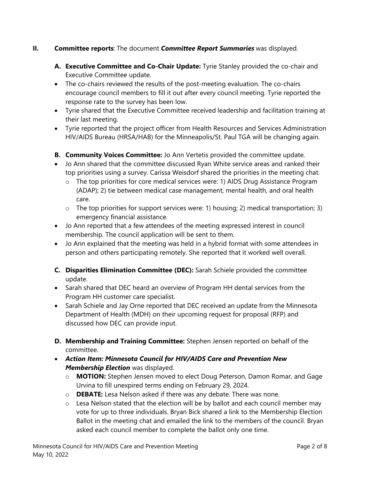# **II. Committee reports**: The document *Committee Report Summaries* was displayed.

- **A. Executive Committee and Co-Chair Update:** Tyrie Stanley provided the co-chair and Executive Committee update.
- The co-chairs reviewed the results of the post-meeting evaluation. The co-chairs encourage council members to fill it out after every council meeting. Tyrie reported the response rate to the survey has been low.
- Tyrie shared that the Executive Committee received leadership and facilitation training at their last meeting.
- Tyrie reported that the project officer from Health Resources and Services Administration HIV/AIDS Bureau (HRSA/HAB) for the Minneapolis/St. Paul TGA will be changing again.
- **B. Community Voices Committee:** Jo Ann Vertetis provided the committee update.
- Jo Ann shared that the committee discussed Ryan White service areas and ranked their top priorities using a survey. Carissa Weisdorf shared the priorities in the meeting chat.
	- o The top priorities for core medical services were: 1) AIDS Drug Assistance Program (ADAP); 2) tie between medical case management, mental health, and oral health care.
	- o The top priorities for support services were: 1) housing; 2) medical transportation; 3) emergency financial assistance.
- Jo Ann reported that a few attendees of the meeting expressed interest in council membership. The council application will be sent to them.
- Jo Ann explained that the meeting was held in a hybrid format with some attendees in person and others participating remotely. She reported that it worked well overall.
- **C. Disparities Elimination Committee (DEC):** Sarah Schiele provided the committee update.
- Sarah shared that DEC heard an overview of Program HH dental services from the Program HH customer care specialist.
- Sarah Schiele and Jay Orne reported that DEC received an update from the Minnesota Department of Health (MDH) on their upcoming request for proposal (RFP) and discussed how DEC can provide input.
- **D. Membership and Training Committee:** Stephen Jensen reported on behalf of the committee.
- *Action Item: Minnesota Council for HIV/AIDS Care and Prevention New Membership Election* was displayed.
	- o **MOTION:** Stephen Jensen moved to elect Doug Peterson, Damon Romar, and Gage Urvina to fill unexpired terms ending on February 29, 2024.
	- o **DEBATE:** Lesa Nelson asked if there was any debate. There was none.
	- o Lesa Nelson stated that the election will be by ballot and each council member may vote for up to three individuals. Bryan Bick shared a link to the Membership Election Ballot in the meeting chat and emailed the link to the members of the council. Bryan asked each council member to complete the ballot only one time.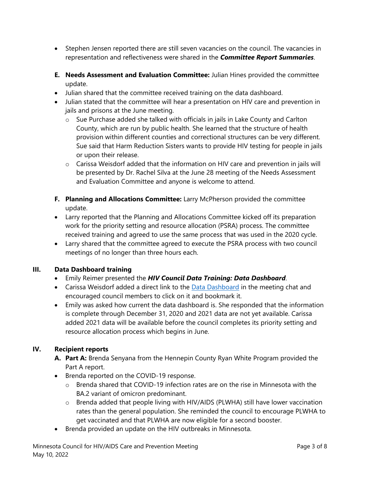- Stephen Jensen reported there are still seven vacancies on the council. The vacancies in representation and reflectiveness were shared in the *Committee Report Summaries*.
- **E. Needs Assessment and Evaluation Committee:** Julian Hines provided the committee update.
- Julian shared that the committee received training on the data dashboard.
- Julian stated that the committee will hear a presentation on HIV care and prevention in jails and prisons at the June meeting.
	- $\circ$  Sue Purchase added she talked with officials in jails in Lake County and Carlton County, which are run by public health. She learned that the structure of health provision within different counties and correctional structures can be very different. Sue said that Harm Reduction Sisters wants to provide HIV testing for people in jails or upon their release.
	- o Carissa Weisdorf added that the information on HIV care and prevention in jails will be presented by Dr. Rachel Silva at the June 28 meeting of the Needs Assessment and Evaluation Committee and anyone is welcome to attend.
- **F. Planning and Allocations Committee:** Larry McPherson provided the committee update.
- Larry reported that the Planning and Allocations Committee kicked off its preparation work for the priority setting and resource allocation (PSRA) process. The committee received training and agreed to use the same process that was used in the 2020 cycle.
- Larry shared that the committee agreed to execute the PSRA process with two council meetings of no longer than three hours each.

# **III. Data Dashboard training**

- Emily Reimer presented the *HIV Council Data Training: Data Dashboard*.
- Carissa Weisdorf added a direct link to the [Data Dashboard](https://app.powerbigov.us/view?r=eyJrIjoiMmE0ZDA1MGMtNGQ0Ni00NmU1LTliN2UtM2E5Njk3NDQzYzZkIiwidCI6IjhhZWZkZjlmLTg3ODAtNDZiZi04ZmI3LTRjOTI0NjUzYThiZSJ9) in the meeting chat and encouraged council members to click on it and bookmark it.
- Emily was asked how current the data dashboard is. She responded that the information is complete through December 31, 2020 and 2021 data are not yet available. Carissa added 2021 data will be available before the council completes its priority setting and resource allocation process which begins in June.

# **IV. Recipient reports**

- **A. Part A:** Brenda Senyana from the Hennepin County Ryan White Program provided the Part A report.
- Brenda reported on the COVID-19 response.
	- $\circ$  Brenda shared that COVID-19 infection rates are on the rise in Minnesota with the BA.2 variant of omicron predominant.
	- o Brenda added that people living with HIV/AIDS (PLWHA) still have lower vaccination rates than the general population. She reminded the council to encourage PLWHA to get vaccinated and that PLWHA are now eligible for a second booster.
- Brenda provided an update on the HIV outbreaks in Minnesota.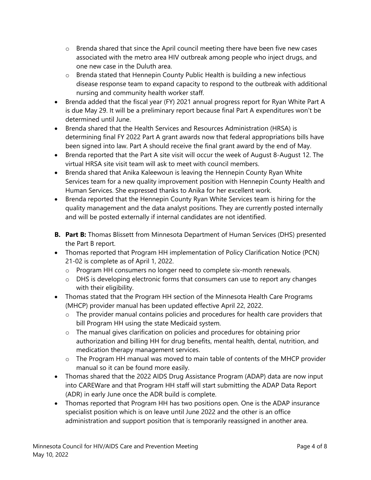- o Brenda shared that since the April council meeting there have been five new cases associated with the metro area HIV outbreak among people who inject drugs, and one new case in the Duluth area.
- o Brenda stated that Hennepin County Public Health is building a new infectious disease response team to expand capacity to respond to the outbreak with additional nursing and community health worker staff.
- Brenda added that the fiscal year (FY) 2021 annual progress report for Ryan White Part A is due May 29. It will be a preliminary report because final Part A expenditures won't be determined until June.
- Brenda shared that the Health Services and Resources Administration (HRSA) is determining final FY 2022 Part A grant awards now that federal appropriations bills have been signed into law. Part A should receive the final grant award by the end of May.
- Brenda reported that the Part A site visit will occur the week of August 8-August 12. The virtual HRSA site visit team will ask to meet with council members.
- Brenda shared that Anika Kaleewoun is leaving the Hennepin County Ryan White Services team for a new quality improvement position with Hennepin County Health and Human Services. She expressed thanks to Anika for her excellent work.
- Brenda reported that the Hennepin County Ryan White Services team is hiring for the quality management and the data analyst positions. They are currently posted internally and will be posted externally if internal candidates are not identified.
- **B. Part B:** Thomas Blissett from Minnesota Department of Human Services (DHS) presented the Part B report.
- Thomas reported that Program HH implementation of Policy Clarification Notice (PCN) 21-02 is complete as of April 1, 2022.
	- o Program HH consumers no longer need to complete six-month renewals.
	- o DHS is developing electronic forms that consumers can use to report any changes with their eligibility.
- Thomas stated that the Program HH section of the Minnesota Health Care Programs (MHCP) provider manual has been updated effective April 22, 2022.
	- o The provider manual contains policies and procedures for health care providers that bill Program HH using the state Medicaid system.
	- o The manual gives clarification on policies and procedures for obtaining prior authorization and billing HH for drug benefits, mental health, dental, nutrition, and medication therapy management services.
	- o The Program HH manual was moved to main table of contents of the MHCP provider manual so it can be found more easily.
- Thomas shared that the 2022 AIDS Drug Assistance Program (ADAP) data are now input into CAREWare and that Program HH staff will start submitting the ADAP Data Report (ADR) in early June once the ADR build is complete.
- Thomas reported that Program HH has two positions open. One is the ADAP insurance specialist position which is on leave until June 2022 and the other is an office administration and support position that is temporarily reassigned in another area.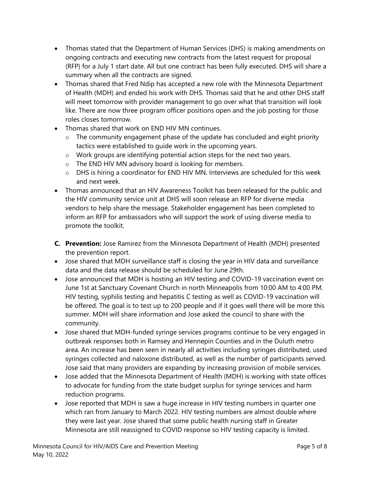- Thomas stated that the Department of Human Services (DHS) is making amendments on ongoing contracts and executing new contracts from the latest request for proposal (RFP) for a July 1 start date. All but one contract has been fully executed. DHS will share a summary when all the contracts are signed.
- Thomas shared that Fred Ndip has accepted a new role with the Minnesota Department of Health (MDH) and ended his work with DHS. Thomas said that he and other DHS staff will meet tomorrow with provider management to go over what that transition will look like. There are now three program officer positions open and the job posting for those roles closes tomorrow.
- Thomas shared that work on END HIV MN continues.
	- o The community engagement phase of the update has concluded and eight priority tactics were established to guide work in the upcoming years.
	- o Work groups are identifying potential action steps for the next two years.
	- o The END HIV MN advisory board is looking for members.
	- $\circ$  DHS is hiring a coordinator for END HIV MN. Interviews are scheduled for this week and next week.
- Thomas announced that an HIV Awareness Toolkit has been released for the public and the HIV community service unit at DHS will soon release an RFP for diverse media vendors to help share the message. Stakeholder engagement has been completed to inform an RFP for ambassadors who will support the work of using diverse media to promote the toolkit.
- **C. Prevention:** Jose Ramirez from the Minnesota Department of Health (MDH) presented the prevention report.
- Jose shared that MDH surveillance staff is closing the year in HIV data and surveillance data and the data release should be scheduled for June 29th.
- Jose announced that MDH is hosting an HIV testing and COVID-19 vaccination event on June 1st at Sanctuary Covenant Church in north Minneapolis from 10:00 AM to 4:00 PM. HIV testing, syphilis testing and hepatitis C testing as well as COVID-19 vaccination will be offered. The goal is to test up to 200 people and if it goes well there will be more this summer. MDH will share information and Jose asked the council to share with the community.
- Jose shared that MDH-funded syringe services programs continue to be very engaged in outbreak responses both in Ramsey and Hennepin Counties and in the Duluth metro area. An increase has been seen in nearly all activities including syringes distributed, used syringes collected and naloxone distributed, as well as the number of participants served. Jose said that many providers are expanding by increasing provision of mobile services.
- Jose added that the Minnesota Department of Health (MDH) is working with state offices to advocate for funding from the state budget surplus for syringe services and harm reduction programs.
- Jose reported that MDH is saw a huge increase in HIV testing numbers in quarter one which ran from January to March 2022. HIV testing numbers are almost double where they were last year. Jose shared that some public health nursing staff in Greater Minnesota are still reassigned to COVID response so HIV testing capacity is limited.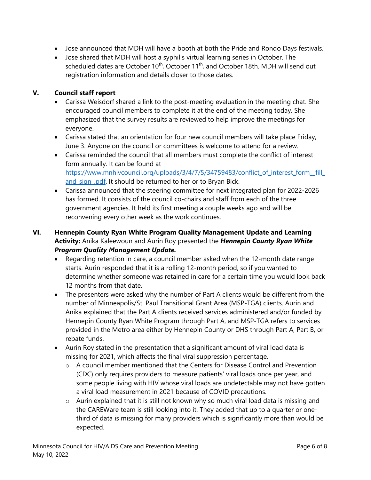- Jose announced that MDH will have a booth at both the Pride and Rondo Days festivals.
- Jose shared that MDH will host a syphilis virtual learning series in October. The scheduled dates are October 10<sup>th</sup>, October 11<sup>th</sup>, and October 18th. MDH will send out registration information and details closer to those dates.

## **V. Council staff report**

- Carissa Weisdorf shared a link to the post-meeting evaluation in the meeting chat. She encouraged council members to complete it at the end of the meeting today. She emphasized that the survey results are reviewed to help improve the meetings for everyone.
- Carissa stated that an orientation for four new council members will take place Friday, June 3. Anyone on the council or committees is welcome to attend for a review.
- Carissa reminded the council that all members must complete the conflict of interest form annually. It can be found at https://www.mnhivcouncil.org/uploads/3/4/7/5/34759483/conflict of interest form\_fill\_ and sign .pdf. It should be returned to her or to Bryan Bick.
- Carissa announced that the steering committee for next integrated plan for 2022-2026 has formed. It consists of the council co-chairs and staff from each of the three government agencies. It held its first meeting a couple weeks ago and will be reconvening every other week as the work continues.
- **VI. Hennepin County Ryan White Program Quality Management Update and Learning Activity:** Anika Kaleewoun and Aurin Roy presented the *Hennepin County Ryan White Program Quality Management Update.*
	- Regarding retention in care, a council member asked when the 12-month date range starts. Aurin responded that it is a rolling 12-month period, so if you wanted to determine whether someone was retained in care for a certain time you would look back 12 months from that date.
	- The presenters were asked why the number of Part A clients would be different from the number of Minneapolis/St. Paul Transitional Grant Area (MSP-TGA) clients. Aurin and Anika explained that the Part A clients received services administered and/or funded by Hennepin County Ryan White Program through Part A, and MSP-TGA refers to services provided in the Metro area either by Hennepin County or DHS through Part A, Part B, or rebate funds.
	- Aurin Roy stated in the presentation that a significant amount of viral load data is missing for 2021, which affects the final viral suppression percentage.
		- o A council member mentioned that the Centers for Disease Control and Prevention (CDC) only requires providers to measure patients' viral loads once per year, and some people living with HIV whose viral loads are undetectable may not have gotten a viral load measurement in 2021 because of COVID precautions.
		- $\circ$  Aurin explained that it is still not known why so much viral load data is missing and the CAREWare team is still looking into it. They added that up to a quarter or onethird of data is missing for many providers which is significantly more than would be expected.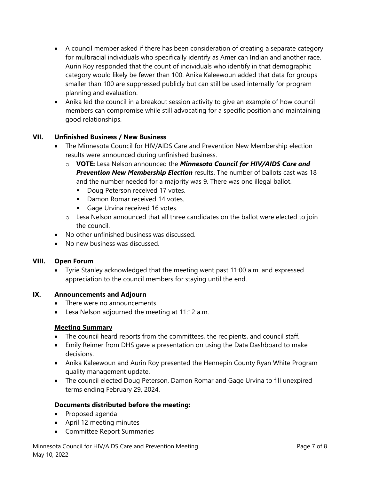- A council member asked if there has been consideration of creating a separate category for multiracial individuals who specifically identify as American Indian and another race. Aurin Roy responded that the count of individuals who identify in that demographic category would likely be fewer than 100. Anika Kaleewoun added that data for groups smaller than 100 are suppressed publicly but can still be used internally for program planning and evaluation.
- Anika led the council in a breakout session activity to give an example of how council members can compromise while still advocating for a specific position and maintaining good relationships.

## **VII. Unfinished Business / New Business**

- The Minnesota Council for HIV/AIDS Care and Prevention New Membership election results were announced during unfinished business.
	- o **VOTE:** Lesa Nelson announced the *Minnesota Council for HIV/AIDS Care and Prevention New Membership Election* results. The number of ballots cast was 18 and the number needed for a majority was 9. There was one illegal ballot.
		- Doug Peterson received 17 votes.
		- Damon Romar received 14 votes.
		- Gage Urvina received 16 votes.
	- o Lesa Nelson announced that all three candidates on the ballot were elected to join the council.
- No other unfinished business was discussed.
- No new business was discussed.

#### **VIII. Open Forum**

• Tyrie Stanley acknowledged that the meeting went past 11:00 a.m. and expressed appreciation to the council members for staying until the end.

#### **IX. Announcements and Adjourn**

- There were no announcements.
- Lesa Nelson adjourned the meeting at 11:12 a.m.

#### **Meeting Summary**

- The council heard reports from the committees, the recipients, and council staff.
- Emily Reimer from DHS gave a presentation on using the Data Dashboard to make decisions.
- Anika Kaleewoun and Aurin Roy presented the Hennepin County Ryan White Program quality management update.
- The council elected Doug Peterson, Damon Romar and Gage Urvina to fill unexpired terms ending February 29, 2024.

#### **Documents distributed before the meeting:**

- Proposed agenda
- April 12 meeting minutes
- Committee Report Summaries